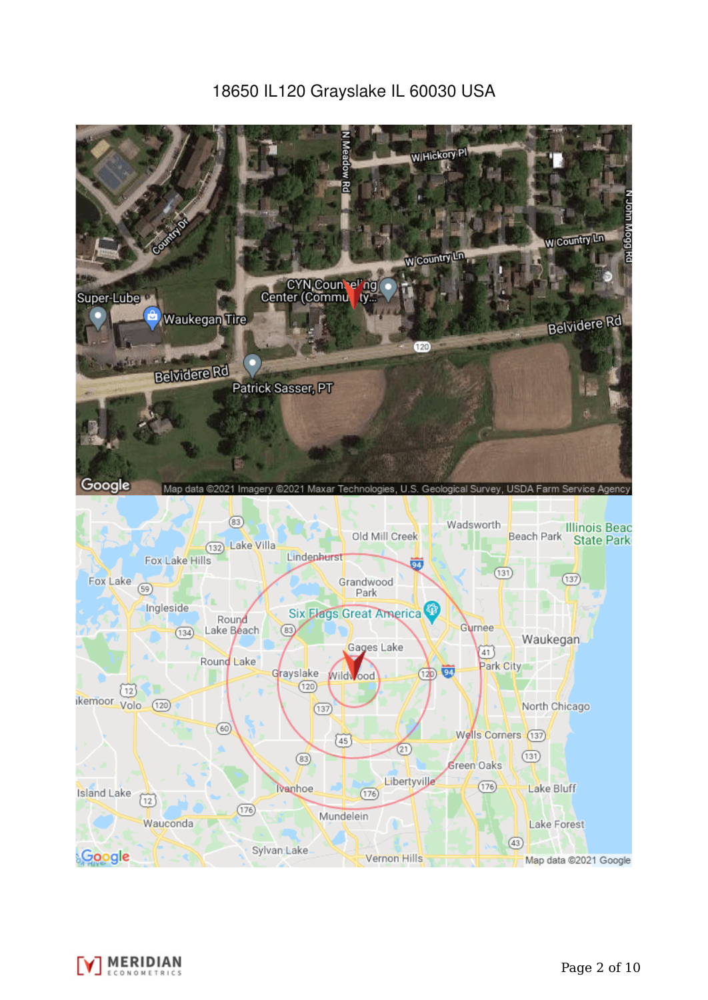# 18650 IL120 Grayslake IL 60030 USA



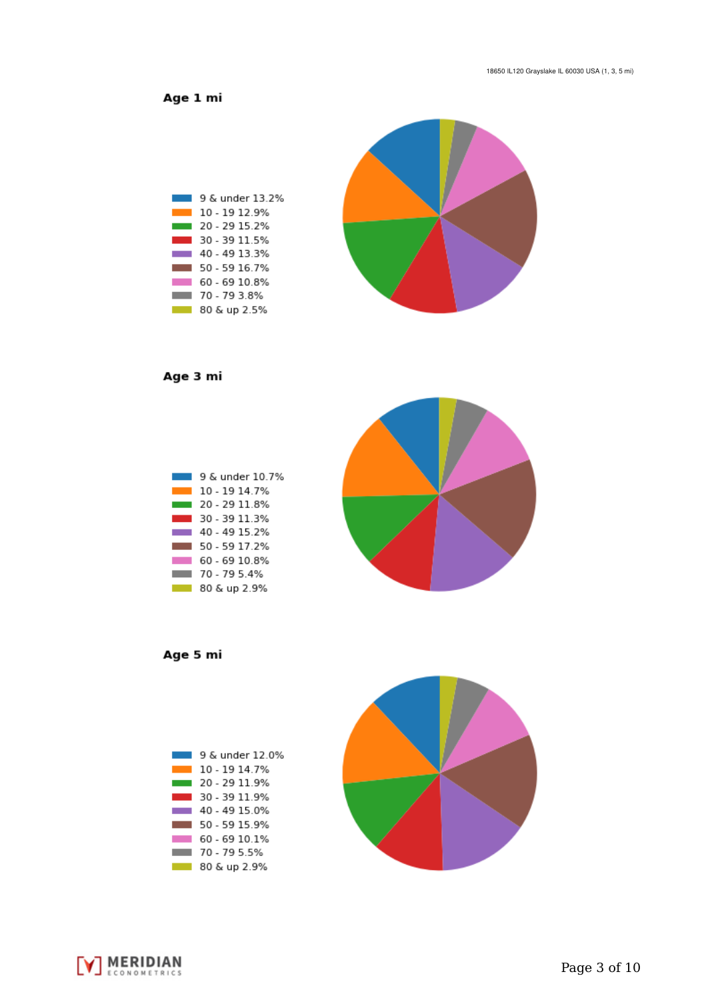Age 1 mi



Age 3 mi



Age 5 mi





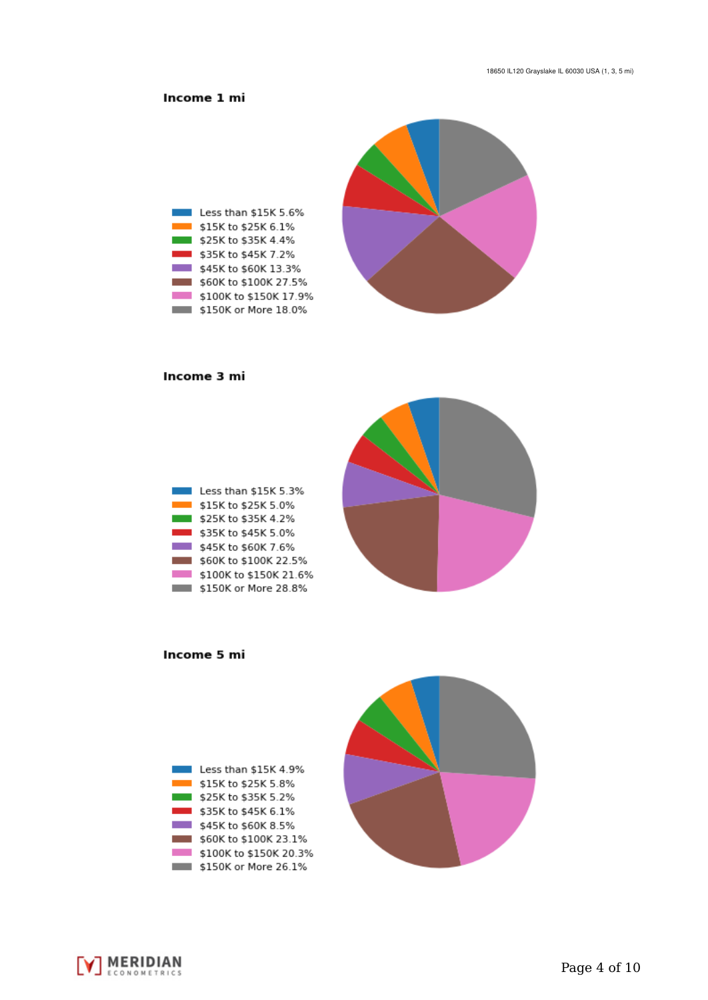## Income 1 mi



#### Income 3 mi

| Less than \$15K 5.3%   |
|------------------------|
| \$15K to \$25K 5.0%    |
| \$25K to \$35K 4.2%    |
| \$35K to \$45K 5.0%    |
| \$45K to \$60K 7.6%    |
| \$60K to \$100K 22.5%  |
| \$100K to \$150K 21.6% |
| \$150K or More 28.8%   |



Income 5 mi



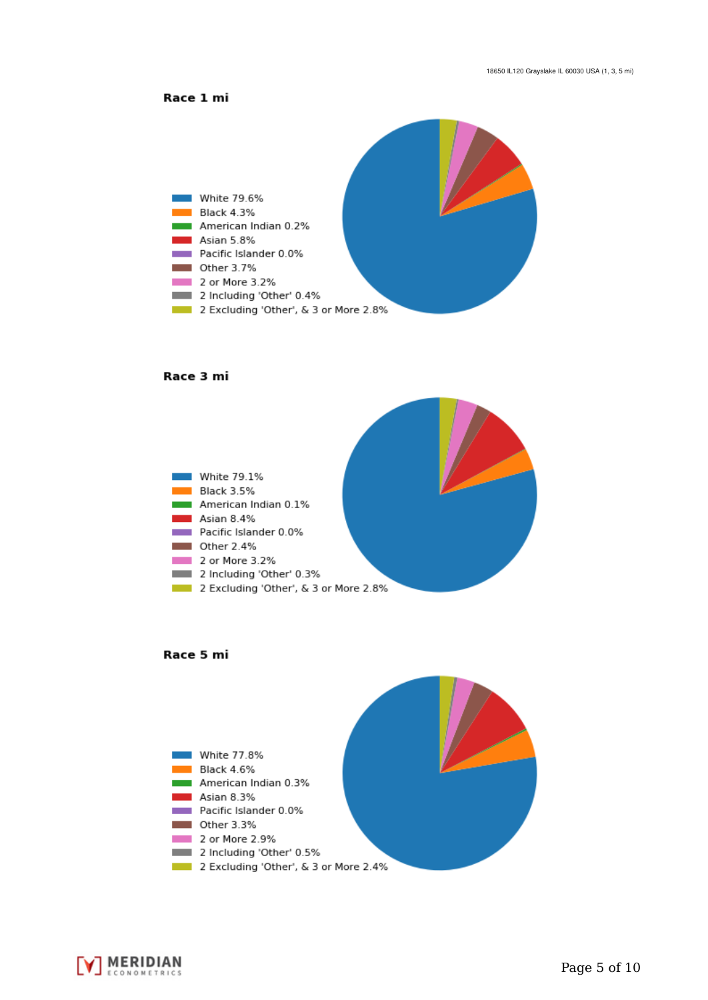



#### Race 3 mi







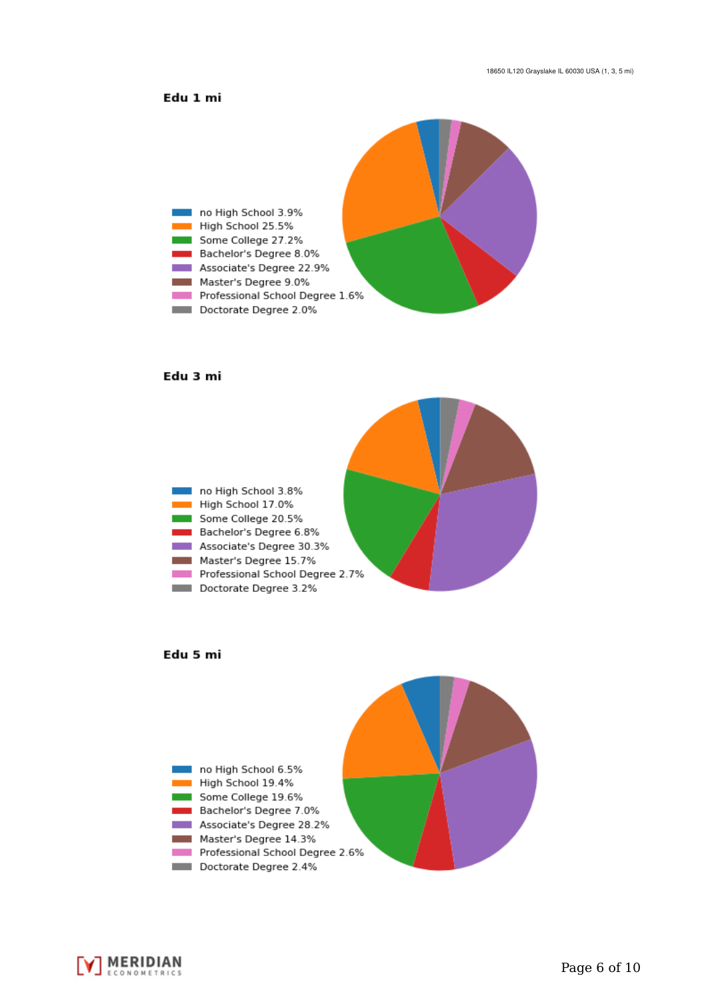### Edu 1 mi



#### Edu 3 mi







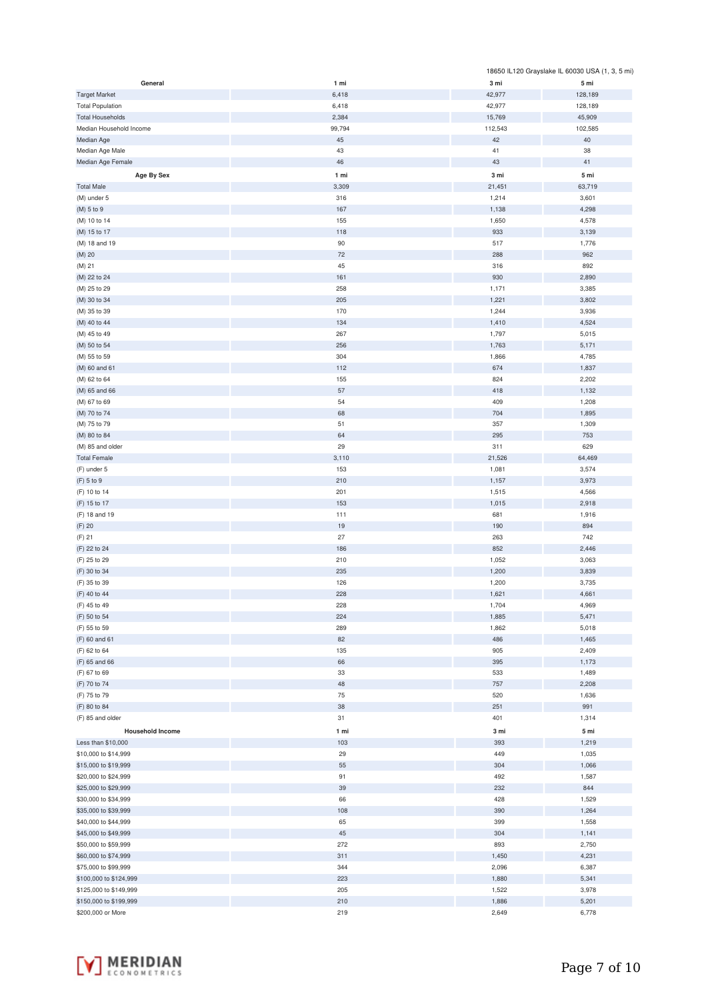|                         |        |         | 18650 IL120 Grayslake IL 60030 USA (1, 3, 5 mi) |
|-------------------------|--------|---------|-------------------------------------------------|
| General                 | 1 mi   | 3 mi    | 5 mi                                            |
| <b>Target Market</b>    | 6,418  | 42,977  | 128,189                                         |
| <b>Total Population</b> | 6,418  | 42,977  | 128,189                                         |
| <b>Total Households</b> | 2,384  | 15,769  | 45,909                                          |
| Median Household Income | 99,794 | 112,543 | 102,585                                         |
| Median Age              | 45     | 42      | 40                                              |
| Median Age Male         | 43     | 41      | 38                                              |
| Median Age Female       | 46     | 43      | 41                                              |
| Age By Sex              | 1 mi   | 3 mi    | 5 mi                                            |
|                         |        |         |                                                 |
| <b>Total Male</b>       | 3,309  | 21,451  | 63,719                                          |
| (M) under 5             | 316    | 1,214   | 3,601                                           |
| (M) 5 to 9              | 167    | 1,138   | 4,298                                           |
| (M) 10 to 14            | 155    | 1,650   | 4,578                                           |
| (M) 15 to 17            | 118    | 933     | 3,139                                           |
| (M) 18 and 19           | 90     | 517     | 1,776                                           |
| (M) 20                  | 72     | 288     | 962                                             |
| (M) 21                  | 45     | 316     | 892                                             |
| (M) 22 to 24            | 161    | 930     | 2,890                                           |
| (M) 25 to 29            | 258    | 1,171   | 3,385                                           |
| (M) 30 to 34            | 205    | 1,221   | 3,802                                           |
| (M) 35 to 39            | 170    | 1,244   | 3,936                                           |
| (M) 40 to 44            | 134    | 1,410   | 4,524                                           |
| (M) 45 to 49            | 267    | 1,797   | 5,015                                           |
| (M) 50 to 54            | 256    | 1,763   | 5,171                                           |
| (M) 55 to 59            | 304    | 1,866   | 4,785                                           |
| (M) 60 and 61           | 112    | 674     | 1,837                                           |
| (M) 62 to 64            | 155    | 824     | 2,202                                           |
| (M) 65 and 66           | 57     | 418     | 1,132                                           |
| (M) 67 to 69            | 54     | 409     | 1,208                                           |
| (M) 70 to 74            | 68     | 704     | 1,895                                           |
| (M) 75 to 79            | 51     | 357     | 1,309                                           |
| (M) 80 to 84            | 64     | 295     | 753                                             |
| (M) 85 and older        | 29     | 311     | 629                                             |
| <b>Total Female</b>     | 3,110  | 21,526  | 64,469                                          |
| (F) under 5             | 153    | 1,081   | 3,574                                           |
| (F) 5 to 9              | 210    | 1,157   | 3,973                                           |
| (F) 10 to 14            | 201    | 1,515   | 4,566                                           |
| (F) 15 to 17            | 153    | 1,015   | 2,918                                           |
|                         | 111    | 681     |                                                 |
| (F) 18 and 19           |        |         | 1,916                                           |
| $(F)$ 20                | 19     | 190     | 894                                             |
| $(F)$ 21                | 27     | 263     | 742                                             |
| (F) 22 to 24            | 186    | 852     | 2,446                                           |
| (F) 25 to 29            | 210    | 1,052   | 3,063                                           |
| (F) 30 to 34            | 235    | 1,200   | 3,839                                           |
| (F) 35 to 39            | 126    | 1,200   | 3,735                                           |
| (F) 40 to 44            | 228    | 1,621   | 4,661                                           |
| (F) 45 to 49            | 228    | 1,704   | 4,969                                           |
| (F) 50 to 54            | 224    | 1,885   | 5,471                                           |
| (F) 55 to 59            | 289    | 1,862   | 5,018                                           |
| (F) 60 and 61           | 82     | 486     | 1,465                                           |
| (F) 62 to 64            | 135    | 905     | 2,409                                           |
| (F) 65 and 66           | 66     | 395     | 1,173                                           |
| (F) 67 to 69            | 33     | 533     | 1,489                                           |
| (F) 70 to 74            | 48     | 757     | 2,208                                           |
| (F) 75 to 79            | 75     | 520     | 1,636                                           |
| (F) 80 to 84            | 38     | 251     | 991                                             |
| (F) 85 and older        | 31     | 401     | 1,314                                           |
| <b>Household Income</b> | 1 mi   | 3 mi    | 5 mi                                            |
| Less than \$10,000      | 103    | 393     | 1,219                                           |
| \$10,000 to \$14,999    | 29     | 449     | 1,035                                           |
| \$15,000 to \$19,999    | 55     | 304     | 1,066                                           |
| \$20,000 to \$24,999    | 91     | 492     | 1,587                                           |
| \$25,000 to \$29,999    | 39     | 232     | 844                                             |
| \$30,000 to \$34,999    | 66     | 428     | 1,529                                           |
| \$35,000 to \$39,999    | 108    | 390     | 1,264                                           |
| \$40,000 to \$44,999    | 65     | 399     | 1,558                                           |
| \$45,000 to \$49,999    | 45     | 304     | 1,141                                           |
|                         |        |         |                                                 |
| \$50,000 to \$59,999    | 272    | 893     | 2,750                                           |
| \$60,000 to \$74,999    | 311    | 1,450   | 4,231                                           |
| \$75,000 to \$99,999    | 344    | 2,096   | 6,387                                           |
| \$100,000 to \$124,999  | 223    | 1,880   | 5,341                                           |
| \$125,000 to \$149,999  | 205    | 1,522   | 3,978                                           |
| \$150,000 to \$199,999  | 210    | 1,886   | 5,201                                           |
| \$200,000 or More       | 219    | 2,649   | 6,778                                           |

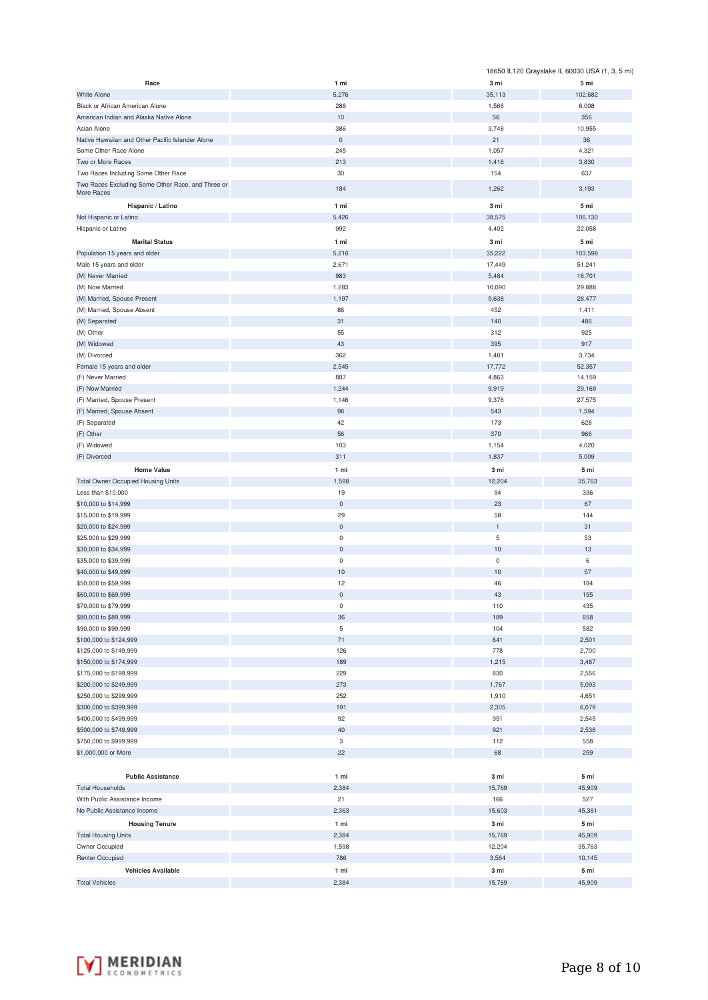|                                                   |                            |                | 18650 IL120 Grayslake IL 60030 USA (1, 3, 5 mi) |
|---------------------------------------------------|----------------------------|----------------|-------------------------------------------------|
| Race                                              | 1 mi                       | 3 mi           | 5 mi                                            |
| <b>White Alone</b>                                | 5,276                      | 35,113         | 102,682                                         |
| Black or African American Alone                   | 288                        | 1,566          | 6,008                                           |
| American Indian and Alaska Native Alone           | 10                         | 56             | 356                                             |
| Asian Alone                                       | 386                        | 3,748          | 10,955                                          |
| Native Hawaiian and Other Pacific Islander Alone  | $\mathbf 0$                | 21             | 36                                              |
| Some Other Race Alone<br>Two or More Races        | 245<br>213                 | 1,057<br>1,416 | 4,321<br>3,830                                  |
| Two Races Including Some Other Race               | 30                         | 154            | 637                                             |
| Two Races Excluding Some Other Race, and Three or |                            |                |                                                 |
| More Races                                        | 184                        | 1,262          | 3,193                                           |
| Hispanic / Latino                                 | 1 mi                       | 3 mi           | 5 mi                                            |
| Not Hispanic or Latino                            | 5,426                      | 38,575         | 106,130                                         |
| Hispanic or Latino                                | 992                        | 4,402          | 22,058                                          |
| <b>Marital Status</b>                             | 1 mi                       | 3 mi           | 5 mi                                            |
| Population 15 years and older                     | 5,216                      | 35,222         | 103,598                                         |
| Male 15 years and older                           | 2,671                      | 17,449         | 51,241                                          |
| (M) Never Married                                 | 983                        | 5,484          | 16,701                                          |
| (M) Now Married                                   | 1,283                      | 10,090         | 29,888                                          |
| (M) Married, Spouse Present                       | 1,197                      | 9,638          | 28,477                                          |
| (M) Married, Spouse Absent                        | 86<br>31                   | 452<br>140     | 1,411<br>486                                    |
| (M) Separated<br>(M) Other                        | 55                         | 312            | 925                                             |
| (M) Widowed                                       | 43                         | 395            | 917                                             |
| (M) Divorced                                      | 362                        | 1,481          | 3,734                                           |
| Female 15 years and older                         | 2,545                      | 17,772         | 52,357                                          |
| (F) Never Married                                 | 887                        | 4,863          | 14,159                                          |
| (F) Now Married                                   | 1,244                      | 9,919          | 29,169                                          |
| (F) Married, Spouse Present                       | 1,146                      | 9,376          | 27,575                                          |
| (F) Married, Spouse Absent                        | 98                         | 543            | 1,594                                           |
| (F) Separated                                     | 42                         | 173            | 628                                             |
| (F) Other                                         | 56                         | 370            | 966                                             |
| (F) Widowed                                       | 103                        | 1,154          | 4,020                                           |
| (F) Divorced                                      | 311                        | 1,837          | 5,009                                           |
| <b>Home Value</b>                                 | 1 mi                       | 3 mi           | 5 mi                                            |
| <b>Total Owner Occupied Housing Units</b>         | 1,598                      | 12,204         | 35,763                                          |
| Less than \$10,000                                | 19                         | 94             | 336                                             |
| \$10,000 to \$14,999                              | $\mathsf{O}\xspace$        | 23             | 67                                              |
| \$15,000 to \$19,999                              | 29                         | 58             | 144                                             |
| \$20,000 to \$24,999                              | $\mathsf{O}\xspace$        | $\mathbf{1}$   | 31                                              |
| \$25,000 to \$29,999                              | $\mathsf{O}\xspace$        | 5              | 53                                              |
| \$30,000 to \$34,999                              | $\mathsf{O}\xspace$        | 10             | 13                                              |
| \$35,000 to \$39,999                              | $\pmb{0}$                  | $\mathsf 0$    | 6                                               |
| \$40,000 to \$49,999                              | 10                         | 10             | 57                                              |
| \$50,000 to \$59,999                              | 12                         | 46             | 184                                             |
| \$60,000 to \$69,999                              | $\mathbf 0$<br>$\mathsf 0$ | 43<br>110      | 155<br>435                                      |
| \$70,000 to \$79,999<br>\$80,000 to \$89,999      | 36                         | 189            | 658                                             |
| \$90,000 to \$99,999                              | 5                          | 104            | 582                                             |
| \$100,000 to \$124,999                            | $71\,$                     | 641            | 2,501                                           |
| \$125,000 to \$149,999                            | 126                        | 778            | 2,700                                           |
| \$150,000 to \$174,999                            | 189                        | 1,215          | 3,487                                           |
| \$175,000 to \$199,999                            | 229                        | 830            | 2,556                                           |
| \$200,000 to \$249,999                            | 273                        | 1,767          | 5,093                                           |
| \$250,000 to \$299,999                            | 252                        | 1,910          | 4,651                                           |
| \$300,000 to \$399,999                            | 191                        | 2,305          | 6,079                                           |
| \$400,000 to \$499,999                            | 92                         | 951            | 2,545                                           |
| \$500,000 to \$749,999                            | 40                         | 921            | 2,536                                           |
| \$750,000 to \$999,999                            | 3                          | 112            | 558                                             |
| \$1,000,000 or More                               | 22                         | 68             | 259                                             |
|                                                   |                            |                |                                                 |
| <b>Public Assistance</b>                          | 1 mi                       | 3 mi           | 5 mi                                            |
| <b>Total Households</b>                           | 2,384                      | 15,769         | 45,909                                          |
| With Public Assistance Income                     | 21                         | 166            | 527                                             |
| No Public Assistance Income                       | 2,363                      | 15,603         | 45,381                                          |
| <b>Housing Tenure</b>                             | 1 mi                       | 3 mi           | 5 mi                                            |
| <b>Total Housing Units</b>                        | 2,384                      | 15,769         | 45,909                                          |
| Owner Occupied                                    | 1,598                      | 12,204         | 35,763                                          |
| <b>Renter Occupied</b>                            | 786                        | 3,564          | 10,145                                          |
| <b>Vehicles Available</b>                         | 1 mi                       | 3 mi           | 5 mi                                            |
| <b>Total Vehicles</b>                             | 2,384                      | 15,769         | 45,909                                          |

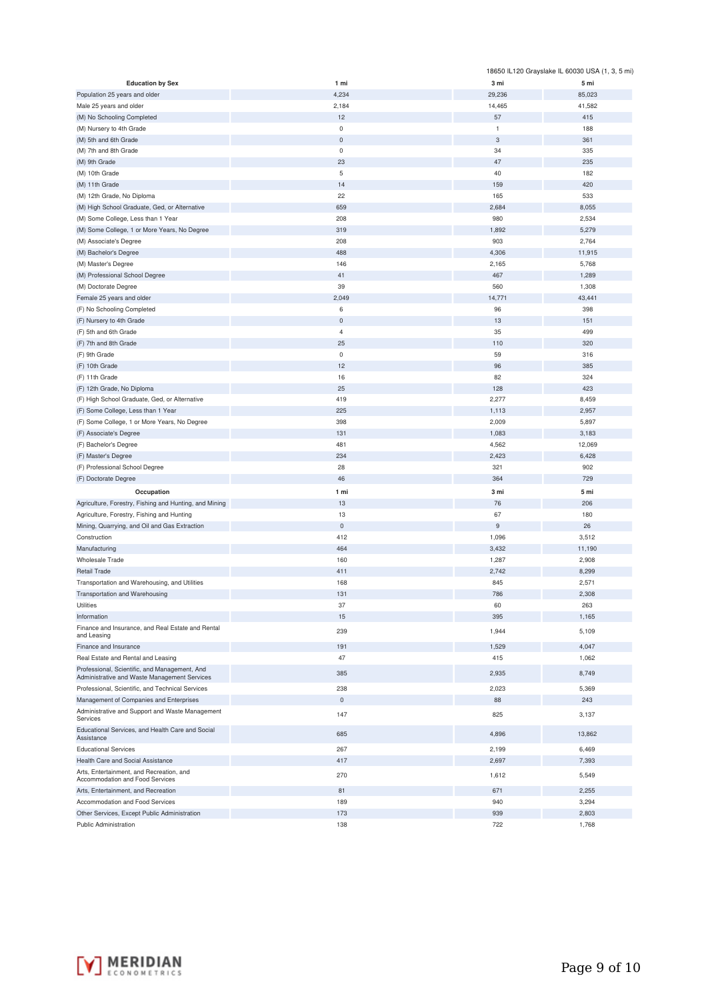|                                                                                               |                |                | 18650 IL120 Grayslake IL 60030 USA (1, 3, 5 mi) |
|-----------------------------------------------------------------------------------------------|----------------|----------------|-------------------------------------------------|
| <b>Education by Sex</b>                                                                       | 1 mi           | 3 mi           | 5 mi                                            |
| Population 25 years and older                                                                 | 4,234          | 29,236         | 85,023                                          |
| Male 25 years and older                                                                       | 2,184          | 14,465         | 41,582                                          |
| (M) No Schooling Completed                                                                    | 12             | 57             | 415                                             |
| (M) Nursery to 4th Grade                                                                      | $\bf 0$        | $\mathbf{1}$   | 188                                             |
| (M) 5th and 6th Grade                                                                         | $\bf 0$        | 3              | 361                                             |
| (M) 7th and 8th Grade                                                                         | $\mathsf 0$    | 34             | 335                                             |
| (M) 9th Grade                                                                                 | 23             | 47             | 235                                             |
| (M) 10th Grade                                                                                | 5              | 40             | 182                                             |
| (M) 11th Grade                                                                                | 14             | 159            | 420                                             |
| (M) 12th Grade, No Diploma                                                                    | 22             | 165            | 533                                             |
| (M) High School Graduate, Ged, or Alternative                                                 | 659            | 2,684          | 8,055                                           |
| (M) Some College, Less than 1 Year                                                            | 208            | 980            | 2,534                                           |
| (M) Some College, 1 or More Years, No Degree                                                  | 319            | 1,892          | 5,279                                           |
| (M) Associate's Degree                                                                        | 208            | 903            | 2,764                                           |
| (M) Bachelor's Degree                                                                         | 488            | 4,306          | 11,915                                          |
| (M) Master's Degree                                                                           | 146            | 2,165          | 5,768                                           |
| (M) Professional School Degree                                                                | 41             | 467            | 1,289                                           |
| (M) Doctorate Degree                                                                          | 39             | 560            | 1,308                                           |
| Female 25 years and older                                                                     | 2,049          | 14,771         | 43,441                                          |
| (F) No Schooling Completed                                                                    | 6              | 96             | 398                                             |
| (F) Nursery to 4th Grade                                                                      | $\bf 0$        | 13             | 151                                             |
| (F) 5th and 6th Grade                                                                         | $\overline{4}$ | 35             | 499                                             |
| (F) 7th and 8th Grade                                                                         | 25             | 110            | 320                                             |
| (F) 9th Grade                                                                                 | $\bf 0$        | 59             | 316                                             |
| (F) 10th Grade                                                                                | 12             | 96             | 385                                             |
| (F) 11th Grade                                                                                | 16             | 82             | 324                                             |
| (F) 12th Grade, No Diploma                                                                    | 25             | 128            | 423                                             |
| (F) High School Graduate, Ged, or Alternative                                                 | 419            | 2,277          | 8,459                                           |
|                                                                                               | 225            | 1,113          | 2,957                                           |
| (F) Some College, Less than 1 Year                                                            | 398            |                |                                                 |
| (F) Some College, 1 or More Years, No Degree                                                  |                | 2,009          | 5,897                                           |
| (F) Associate's Degree                                                                        | 131            | 1,083          | 3,183                                           |
| (F) Bachelor's Degree                                                                         | 481            | 4,562          | 12,069                                          |
| (F) Master's Degree                                                                           | 234            | 2,423          | 6,428                                           |
| (F) Professional School Degree                                                                | 28             | 321            | 902                                             |
| (F) Doctorate Degree                                                                          | 46             | 364            | 729                                             |
| Occupation                                                                                    | 1 mi           | 3 mi           | 5 mi                                            |
| Agriculture, Forestry, Fishing and Hunting, and Mining                                        | 13             | 76             | 206                                             |
| Agriculture, Forestry, Fishing and Hunting                                                    | 13             | 67             | 180                                             |
| Mining, Quarrying, and Oil and Gas Extraction                                                 | $\mathbf 0$    | $\overline{9}$ | 26                                              |
| Construction                                                                                  | 412            | 1,096          | 3,512                                           |
| Manufacturing                                                                                 | 464            | 3,432          | 11,190                                          |
| Wholesale Trade                                                                               | 160            | 1,287          | 2,908                                           |
| <b>Retail Trade</b>                                                                           | 411            | 2,742          | 8,299                                           |
| Transportation and Warehousing, and Utilities                                                 | 168            | 845            | 2,571                                           |
| Transportation and Warehousing                                                                | 131            | 786            | 2,308                                           |
| Utilities                                                                                     | 37             | 60             | 263                                             |
| Information                                                                                   | 15             | 395            | 1,165                                           |
| Finance and Insurance, and Real Estate and Rental<br>and Leasing                              | 239            | 1,944          | 5,109                                           |
| Finance and Insurance                                                                         | 191            | 1,529          | 4,047                                           |
| Real Estate and Rental and Leasing                                                            | 47             | 415            | 1,062                                           |
| Professional, Scientific, and Management, And<br>Administrative and Waste Management Services | 385            | 2,935          | 8,749                                           |
| Professional, Scientific, and Technical Services                                              | 238            | 2,023          | 5,369                                           |
| Management of Companies and Enterprises                                                       | $\mathbf 0$    | 88             | 243                                             |
| Administrative and Support and Waste Management<br>Services                                   | 147            | 825            | 3,137                                           |
| Educational Services, and Health Care and Social<br>Assistance                                | 685            | 4,896          | 13,862                                          |
| <b>Educational Services</b>                                                                   | 267            | 2,199          | 6,469                                           |
| Health Care and Social Assistance                                                             | 417            | 2,697          | 7,393                                           |
| Arts, Entertainment, and Recreation, and                                                      |                |                |                                                 |
| Accommodation and Food Services                                                               | 270            | 1,612          | 5,549                                           |
| Arts, Entertainment, and Recreation                                                           | 81             | 671            | 2,255                                           |
| Accommodation and Food Services                                                               | 189            | 940            | 3,294                                           |
| Other Services, Except Public Administration                                                  | 173            | 939            | 2,803                                           |
| <b>Public Administration</b>                                                                  | 138            | 722            | 1,768                                           |